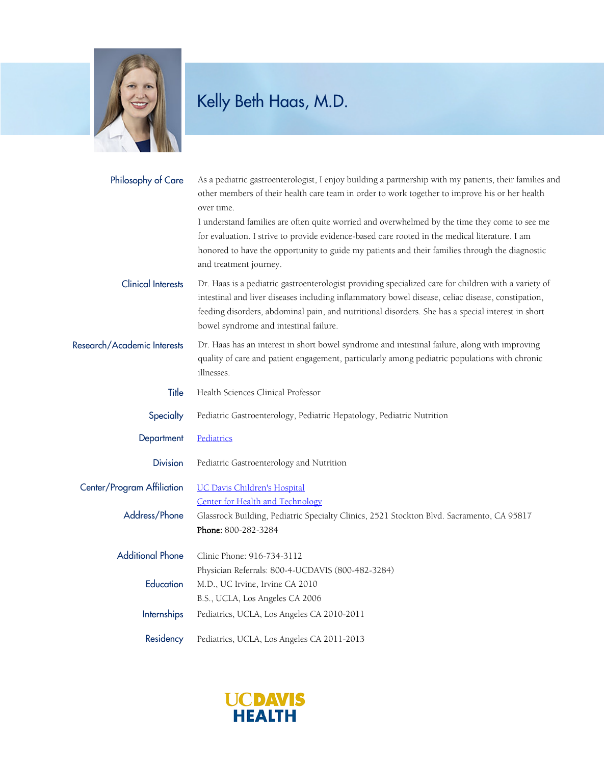

## Kelly Beth Haas, M.D.

| Philosophy of Care                          | As a pediatric gastroenterologist, I enjoy building a partnership with my patients, their families and<br>other members of their health care team in order to work together to improve his or her health<br>over time.<br>I understand families are often quite worried and overwhelmed by the time they come to see me<br>for evaluation. I strive to provide evidence-based care rooted in the medical literature. I am<br>honored to have the opportunity to guide my patients and their families through the diagnostic<br>and treatment journey. |
|---------------------------------------------|-------------------------------------------------------------------------------------------------------------------------------------------------------------------------------------------------------------------------------------------------------------------------------------------------------------------------------------------------------------------------------------------------------------------------------------------------------------------------------------------------------------------------------------------------------|
| <b>Clinical Interests</b>                   | Dr. Haas is a pediatric gastroenterologist providing specialized care for children with a variety of<br>intestinal and liver diseases including inflammatory bowel disease, celiac disease, constipation,<br>feeding disorders, abdominal pain, and nutritional disorders. She has a special interest in short<br>bowel syndrome and intestinal failure.                                                                                                                                                                                              |
| Research/Academic Interests                 | Dr. Haas has an interest in short bowel syndrome and intestinal failure, along with improving<br>quality of care and patient engagement, particularly among pediatric populations with chronic<br>illnesses.                                                                                                                                                                                                                                                                                                                                          |
| Title                                       | Health Sciences Clinical Professor                                                                                                                                                                                                                                                                                                                                                                                                                                                                                                                    |
| Specialty                                   | Pediatric Gastroenterology, Pediatric Hepatology, Pediatric Nutrition                                                                                                                                                                                                                                                                                                                                                                                                                                                                                 |
| Department                                  | Pediatrics                                                                                                                                                                                                                                                                                                                                                                                                                                                                                                                                            |
| <b>Division</b>                             | Pediatric Gastroenterology and Nutrition                                                                                                                                                                                                                                                                                                                                                                                                                                                                                                              |
| Center/Program Affiliation<br>Address/Phone | <b>UC Davis Children's Hospital</b><br>Center for Health and Technology<br>Glassrock Building, Pediatric Specialty Clinics, 2521 Stockton Blvd. Sacramento, CA 95817<br>Phone: 800-282-3284                                                                                                                                                                                                                                                                                                                                                           |
| <b>Additional Phone</b>                     | Clinic Phone: 916-734-3112<br>Physician Referrals: 800-4-UCDAVIS (800-482-3284)                                                                                                                                                                                                                                                                                                                                                                                                                                                                       |
| Education                                   | M.D., UC Irvine, Irvine CA 2010<br>B.S., UCLA, Los Angeles CA 2006                                                                                                                                                                                                                                                                                                                                                                                                                                                                                    |
| <b>Internships</b>                          | Pediatrics, UCLA, Los Angeles CA 2010-2011                                                                                                                                                                                                                                                                                                                                                                                                                                                                                                            |
| Residency                                   | Pediatrics, UCLA, Los Angeles CA 2011-2013                                                                                                                                                                                                                                                                                                                                                                                                                                                                                                            |

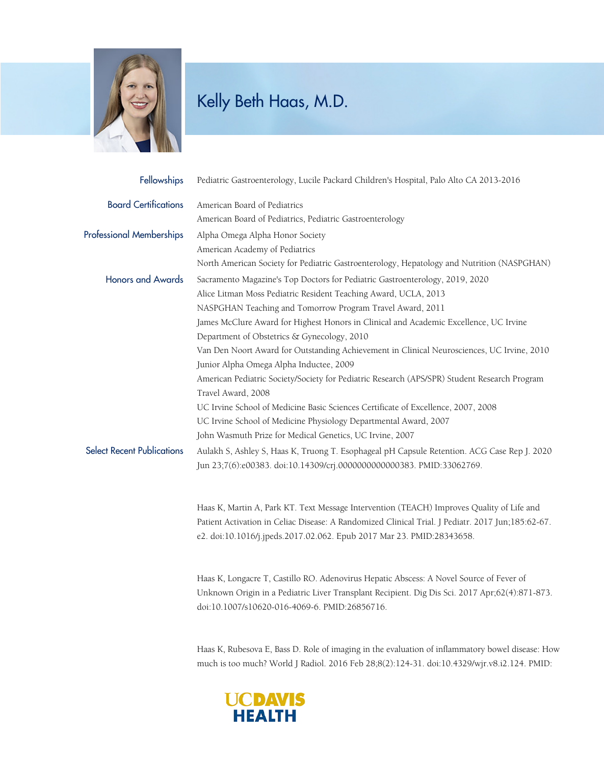

## Kelly Beth Haas, M.D.

| <b>Fellowships</b>                | Pediatric Gastroenterology, Lucile Packard Children's Hospital, Palo Alto CA 2013-2016            |
|-----------------------------------|---------------------------------------------------------------------------------------------------|
| <b>Board Certifications</b>       | American Board of Pediatrics                                                                      |
|                                   | American Board of Pediatrics, Pediatric Gastroenterology                                          |
| <b>Professional Memberships</b>   | Alpha Omega Alpha Honor Society                                                                   |
|                                   | American Academy of Pediatrics                                                                    |
|                                   | North American Society for Pediatric Gastroenterology, Hepatology and Nutrition (NASPGHAN)        |
| <b>Honors and Awards</b>          | Sacramento Magazine's Top Doctors for Pediatric Gastroenterology, 2019, 2020                      |
|                                   | Alice Litman Moss Pediatric Resident Teaching Award, UCLA, 2013                                   |
|                                   | NASPGHAN Teaching and Tomorrow Program Travel Award, 2011                                         |
|                                   | James McClure Award for Highest Honors in Clinical and Academic Excellence, UC Irvine             |
|                                   | Department of Obstetrics & Gynecology, 2010                                                       |
|                                   | Van Den Noort Award for Outstanding Achievement in Clinical Neurosciences, UC Irvine, 2010        |
|                                   | Junior Alpha Omega Alpha Inductee, 2009                                                           |
|                                   | American Pediatric Society/Society for Pediatric Research (APS/SPR) Student Research Program      |
|                                   | Travel Award, 2008                                                                                |
|                                   | UC Irvine School of Medicine Basic Sciences Certificate of Excellence, 2007, 2008                 |
|                                   | UC Irvine School of Medicine Physiology Departmental Award, 2007                                  |
|                                   | John Wasmuth Prize for Medical Genetics, UC Irvine, 2007                                          |
| <b>Select Recent Publications</b> | Aulakh S, Ashley S, Haas K, Truong T. Esophageal pH Capsule Retention. ACG Case Rep J. 2020       |
|                                   | Jun 23;7(6):e00383. doi:10.14309/crj.0000000000000383. PMID:33062769.                             |
|                                   | Haas K, Martin A, Park KT. Text Message Intervention (TEACH) Improves Quality of Life and         |
|                                   | Patient Activation in Celiac Disease: A Randomized Clinical Trial. J Pediatr. 2017 Jun;185:62-67. |
|                                   | e2. doi:10.1016/j.jpeds.2017.02.062. Epub 2017 Mar 23. PMID:28343658.                             |
|                                   |                                                                                                   |

Haas K, Longacre T, Castillo RO. Adenovirus Hepatic Abscess: A Novel Source of Fever of Unknown Origin in a Pediatric Liver Transplant Recipient. Dig Dis Sci. 2017 Apr;62(4):871-873. doi:10.1007/s10620-016-4069-6. PMID:26856716.

Haas K, Rubesova E, Bass D. Role of imaging in the evaluation of inflammatory bowel disease: How much is too much? World J Radiol. 2016 Feb 28;8(2):124-31. doi:10.4329/wjr.v8.i2.124. PMID: